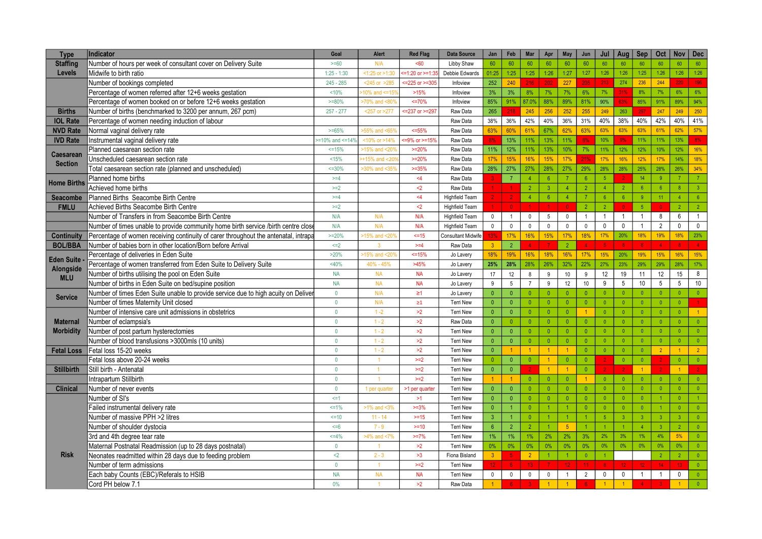| <b>Type</b>                        | <b>Indicator</b>                                                                    | Goal                  | Alert              | <b>Red Flag</b>          | <b>Data Source</b>       | Jan                  | Feb             | Mar             | Apr              | <b>May</b>      | Jun                    | Jul                  | Aug             | Sep                     | Oct             | <b>Nov</b>      | <b>Dec</b>       |
|------------------------------------|-------------------------------------------------------------------------------------|-----------------------|--------------------|--------------------------|--------------------------|----------------------|-----------------|-----------------|------------------|-----------------|------------------------|----------------------|-----------------|-------------------------|-----------------|-----------------|------------------|
| <b>Staffing</b>                    | Number of hours per week of consultant cover on Delivery Suite                      | $>= 60$               | N/A                | <60                      | Libby Shaw               | 60                   | 60              | 60              | 60               | 60              | 60                     | 60                   | 60              | 60                      | 60              | 60              | 60               |
| Levels                             | Midwife to birth ratio                                                              | $1:25 - 1:30$         | $<1:25$ or $>1:30$ | $=1:20$ or $>=1:35$      | Debbie Edwards           | 01:25                | 1:25            | 1:25            | 1:26             | 1:27            | 1:27                   | 1:26                 | 1:26            | 1:25                    | $1.26$          | 1:26            | 1:26             |
|                                    | Number of bookings completed                                                        | $245 - 285$           | $< 245$ or $> 285$ | $= 225$ or $>= 305$      | Infoview                 | 252                  | 240             | 216             | 202              | 227             | 205                    | 213                  | 274             | 236                     | 244             | 220             | 196              |
|                                    | Percentage of women referred after 12+6 weeks gestation                             | 10%                   | 10% and $\leq$ 15' | >15%                     | Infoview                 | 3%                   | 3%              | 8%              | 7%               | 7%              | 6%                     | 7%                   | 31%             | 8%                      | 7%              | 6%              | 6%               |
|                                    | Percentage of women booked on or before 12+6 weeks gestation                        | $>=80%$               | >70% and <80%      | $~50\%$                  | Infoview                 | 85%                  | 91%             | 87.0%           | 88%              | 89%             | 81%                    | 90%                  | 63%             | 85%                     | 91%             | 89%             | 94%              |
| <b>Births</b>                      | Number of births (benchmarked to 3200 per annum, 267 pcm)                           | $257 - 277$           | <257 or >277       | $\epsilon$ =237 or >=297 | Raw Data                 | 265                  | 218             | 245             | 256              | 252             | 255                    | 249                  | 263             | 297                     | 247             | 249             | 250              |
| <b>IOL Rate</b>                    | Percentage of women needing induction of labour                                     |                       |                    |                          | Raw Data                 | 38%                  | 36%             | 42%             | 40%              | 36%             | 31%                    | 40%                  | 38%             | 40%                     | 42%             | 40%             | 41%              |
| <b>NVD Rate</b>                    | Normal vaginal delivery rate                                                        | $>= 65%$              | 55% and <659       | $<=55%$                  | Raw Data                 | 63%                  | 60%             | 61%             | 67%              | 62%             | 63%                    | 63%                  | 63%             | 63%                     | 61%             | 62%             | 57%              |
| <b>IVD Rate</b>                    | Instrumental vaginal delivery rate                                                  | $>=10\%$ and $<=14\%$ | <10% or >14%       | $=9\%$ or $>=15\%$       | Raw Data                 | 8%                   | 13%             | 11%             | 13%              | 11%             | 8%                     | 10%                  | 9%              | 11%                     | 11%             | 13%             | 8%               |
|                                    | Planned caesarean section rate                                                      | $=15%$                | 15% and <20        | $>=20%$                  | Raw Data                 | 11%                  | 12%             | 11%             | 13%              | 10%             | 7%                     | 11%                  | 12%             | 12%                     | 10%             | 12%             | 16%              |
| <b>Caesarean</b><br><b>Section</b> | Unscheduled caesarean section rate                                                  | < 15%                 | $+15%$ and <20     | $>=20%$                  | Raw Data                 | 17%                  | 15%             | 16%             | 15%              | 17%             | 21%                    | 17%                  | 16%             | 12%                     | 17%             | 14%             | 18%              |
|                                    | Total caesarean section rate (planned and unscheduled)                              | $=30%$                | -30% and <35%      | $>=35%$                  | Raw Data                 | 28%                  | 27%             | 27%             | 28%              | 27%             | 29%                    | 28%                  | 28%             | 25%                     | 28%             | 26%             | 34%              |
|                                    | Planned home births                                                                 | $>=4$                 |                    | 4 <sub>4</sub>           | Raw Data                 | 3                    | $\overline{7}$  | $\overline{4}$  | $6\overline{6}$  | $\overline{7}$  | 6 <sup>1</sup>         | 5 <sup>1</sup>       | $\overline{2}$  | 14                      | 9               | $\overline{7}$  | $\overline{7}$   |
| <b>Home Births</b>                 | Achieved home births                                                                | $>=2$                 |                    | $2$                      | Raw Data                 |                      |                 | $\mathfrak{p}$  | $\overline{3}$   | $\overline{4}$  | 2 <sup>1</sup>         | $\overline{4}$       | $\overline{2}$  | $6\overline{6}$         | 6 <sup>°</sup>  | $\overline{8}$  | 3 <sup>7</sup>   |
| <b>Seacombe</b>                    | Planned Births Seacombe Birth Centre                                                | $>=4$                 |                    | $<$ 4                    | <b>Highfield Team</b>    |                      |                 | $\overline{4}$  | $6^{\circ}$      | $\overline{4}$  | $\overline{7}$         | 6 <sup>°</sup>       | $6\overline{6}$ | $\overline{9}$          | 11              | $\overline{4}$  | 6 <sup>1</sup>   |
| <b>FMLU</b>                        | Achieved Births Seacombe Birth Centre                                               | $>=2$                 |                    | $2$                      | <b>Highfield Team</b>    |                      | $\Omega$        |                 |                  | $\Omega$        | 2 <sup>1</sup>         | $\overline{2}$       | $\mathbf{0}$    | $\sqrt{5}$              |                 | $\overline{2}$  | $\overline{2}$   |
|                                    | Number of Transfers in from Seacombe Birth Centre                                   | N/A                   | N/A                | N/A                      | <b>Highfield Team</b>    | $\mathbf 0$          | $\overline{1}$  | $\mathbf 0$     | $5\phantom{.0}$  | $\mathbf 0$     | $\mathbf{1}$           | $\overline{1}$       | $\overline{1}$  | $\overline{1}$          | 8               | $\,6\,$         | $\overline{1}$   |
|                                    | Number of times unable to provide community home birth service /birth centre close  | N/A                   | N/A                | N/A                      | <b>Highfield Team</b>    | $\mathbf 0$          | $\pmb{0}$       | $\mathbf 0$     | $\mathbf 0$      | $\mathbf{0}$    | $\mathbf 0$            | $\mathbf{0}$         | $\mathbf 0$     | $\overline{1}$          | $\overline{2}$  | $\mathbf 0$     | $\mathbf 0$      |
| <b>Continuity</b>                  | Percentage of women receiving continuity of carer throughout the antenatal, intrapa | $>=20%$               | $-15%$ and $< 20$  | $5 = 15$                 | <b>Consultant Midwif</b> | 13%                  | 17%             | 16%             | 15%              | 17%             | 18%                    | 17%                  | 20%             | 18%                     | 19%             | 18%             | 23%              |
| <b>BOL/BBA</b>                     | Number of babies born in other location/Born before Arrival                         | $\leq$ $=$ $2$        |                    | $>=4$                    | Raw Data                 | $\overline{3}$       | $\overline{2}$  |                 |                  | $\overline{2}$  | $\boldsymbol{\Lambda}$ |                      | $\overline{8}$  | ់គ                      |                 |                 | $\blacktriangle$ |
|                                    | Percentage of deliveries in Eden Suite                                              | >20%                  | ~15% and <20       | ~5%                      | Jo Lavery                | 18%                  | 19%             | 16%             | 18%              | 16%             | 17%                    | 15%                  | 20%             | 19%                     | 15%             | 16%             | 15%              |
| <b>Eden Suite</b>                  | Percentage of women transferred from Eden Suite to Delivery Suite                   | <40%                  | 40% - 45%          | >45%                     | Jo Lavery                | 25%                  | 28%             | 28%             | 26%              | 32%             | 22%                    | 27%                  | 23%             | 29%                     | 29%             | 28%             | 17%              |
| Alongside                          | Number of births utilising the pool on Eden Suite                                   | <b>NA</b>             | <b>NA</b>          | <b>NA</b>                | Jo Lavery                | 17                   | 12              | 8               | 9                | 10              | 9                      | 12                   | 19              | 11                      | 12              | 15              | 8                |
| <b>MLU</b>                         | Number of births in Eden Suite on bed/supine position                               | <b>NA</b>             | <b>NA</b>          | <b>NA</b>                | Jo Lavery                | $\boldsymbol{9}$     | $5\phantom{.0}$ | $\overline{7}$  | $\boldsymbol{9}$ | 12              | 10 <sup>1</sup>        | 9                    | $\overline{5}$  | 10                      | $5\phantom{.0}$ | $5\phantom{.0}$ | $10\,$           |
|                                    | Number of times Eden Suite unable to provide service due to high acuity on Deliver  | $\mathbf{0}$          | N/A                | $\geq 1$                 | Jo Lavery                | $\mathbf{0}$         | $\mathbf{0}$    | $\mathbf{0}$    | $\overline{0}$   | $\overline{0}$  | $\mathbf{0}$           | $\mathbf{0}$         | $\overline{0}$  | $\overline{0}$          | $\mathbf{0}$    | $\overline{0}$  | $\overline{0}$   |
| <b>Service</b>                     | Number of times Maternity Unit closed                                               | $\mathbf{0}$          | N/A                | $\geq 1$                 | <b>Terri New</b>         | $\mathbf{0}$         | $\overline{0}$  | $\mathbf{0}$    | $\overline{0}$   | $\mathbf{0}$    | $\overline{0}$         | $\overline{0}$       | $\overline{0}$  | $\overline{0}$          | $\mathbf{0}$    | $\mathbf{0}$    | $\mathbf{1}$     |
|                                    | Number of intensive care unit admissions in obstetrics                              | $\mathbf{0}$          | $1 - 2$            | >2                       | <b>Terri New</b>         | $\mathbf{0}$         | $\overline{0}$  | $\mathbf{0}$    | $\overline{0}$   | $\overline{0}$  | 1                      | $\overline{0}$       | $\overline{0}$  | $\overline{0}$          | $\mathbf{0}$    | $\overline{0}$  | $1 -$            |
| <b>Maternal</b>                    | Number of eclampsia's                                                               | $\mathbf{0}$          | $1 - 2$            | >2                       | Raw Data                 | $\Omega$             | $\theta$        | $\Omega$        | $\theta$         | $\overline{0}$  | $\overline{0}$         | $\overline{0}$       | $\mathbf{0}$    | $\overline{0}$          | $\Omega$        | $\mathbf{0}$    | $\overline{0}$   |
| <b>Morbidity</b>                   | Number of post partum hysterectomies                                                | $\mathbf{0}$          | $1 - 2$            | >2                       | <b>Terri New</b>         | $\mathbf{0}$         | $\overline{0}$  | $\overline{0}$  | $\overline{0}$   | $\overline{0}$  | $\overline{0}$         | $\mathbf{0}$         | $\overline{0}$  | $\overline{0}$          | $\overline{0}$  | $\mathbf{0}$    | $\overline{0}$   |
|                                    | Number of blood transfusions >3000mls (10 units)                                    | $\mathbf{0}$          | $1 - 2$            | >2                       | <b>Terri New</b>         | $\mathbf{0}$         | $\mathbf{0}$    | $\mathbf{0}$    | $\overline{0}$   | $\overline{0}$  | $\overline{0}$         | $\mathbf{0}$         | $\overline{0}$  | $\overline{0}$          | $\mathbf{0}$    | $\overline{0}$  | $\bullet$        |
| <b>Fetal Loss</b>                  | Fetal loss 15-20 weeks                                                              | $\mathbf{0}$          | $1 - 2$            | >2                       | <b>Terri New</b>         | $\mathbf{0}$         |                 | $\overline{1}$  | $\overline{1}$   | $\blacksquare$  | $\overline{0}$         | $\overline{0}$       | $\overline{0}$  | $\overline{0}$          | $\overline{2}$  | $\overline{1}$  | 2 <sup>2</sup>   |
|                                    | Fetal loss above 20-24 weeks                                                        | $\mathbf{0}$          | $\overline{1}$     | $>=2$                    | <b>Terri New</b>         | $\mathbf{0}$         | $\mathbf{0}$    | $\Omega$        |                  | $\mathbf{0}$    | $\mathbf{0}$           | $\overline{2}$       | $\mathbf{0}$    | $\overline{\mathbf{0}}$ |                 | $\Omega$        | $\bullet$        |
| <b>Stillbirth</b>                  | Still birth - Antenatal                                                             | $\mathbf{0}$          |                    | $>=2$                    | <b>Terri New</b>         | $\mathbf{0}$         | $\overline{0}$  |                 | $\overline{1}$   | $\mathbf{1}$    | $\mathbf{0}$           | 2 <sup>1</sup>       | $\overline{2}$  | $\overline{1}$          |                 |                 | $\overline{2}$   |
|                                    | Intrapartum Stillbirth                                                              | $\mathbf{0}$          |                    | $>=2$                    | <b>Terri New</b>         | $\blacktriangleleft$ | $\overline{1}$  | $\mathbf{0}$    | $\overline{0}$   | $\overline{0}$  | $\blacksquare$         | $\overline{0}$       | $\overline{0}$  | $\overline{0}$          | $\overline{0}$  | $\overline{0}$  | $\overline{0}$   |
| <b>Clinical</b>                    | Number of never events                                                              | $\mathbf{0}$          | 1 per quarte       | >1 per quarter           | <b>Terri New</b>         | $\mathbf{0}$         | $\mathbf{0}$    | $\mathbf{0}$    | $\overline{0}$   | $\mathbf{0}$    | $\overline{0}$         | $\mathbf{0}$         | $\overline{0}$  | $\overline{0}$          | $\mathbf{0}$    | $\mathbf{0}$    | $\bullet$        |
|                                    | Number of SI's                                                                      | $\leq$ 1              |                    | >1                       | <b>Terri New</b>         | $\mathbf{0}$         | $\Omega$        | $\mathbf{0}$    | $\mathbf{0}$     | $\mathbf{0}$    | $\mathbf{0}$           | $\mathbf{0}$         | $\overline{0}$  | $\overline{0}$          |                 | $\mathbf{0}$    | $\overline{1}$   |
|                                    | Failed instrumental delivery rate                                                   | $\leq$ = 1%           | $>1\%$ and <3 $\%$ | $>=3%$                   | <b>Terri New</b>         | $\pmb{0}$            |                 | $\mathbf{0}$    |                  |                 | $\overline{0}$         | $\mathbf{0}$         | $\overline{0}$  | $\overline{\mathbf{0}}$ |                 | $\mathbf{0}$    | $\overline{0}$   |
|                                    | Number of massive PPH >2 litres                                                     | $=10$                 | $11 - 14$          | $> = 15$                 | <b>Terri New</b>         | $\overline{3}$       |                 | $\overline{0}$  | $\overline{1}$   | $\mathbf{1}$    | $\blacktriangleleft$   | 5 <sub>5</sub>       | $\overline{3}$  | $\overline{3}$          | $\overline{3}$  | $\overline{3}$  | $\overline{0}$   |
|                                    | Number of shoulder dystocia                                                         | $5 = 6$               | $7 - 9$            | $>=10$                   | <b>Terri New</b>         | $6\overline{6}$      | $\overline{2}$  | $\overline{2}$  |                  | 5 <sup>5</sup>  | $\blacktriangleleft$   | $\blacktriangleleft$ | $\overline{1}$  | $\overline{4}$          | $\overline{3}$  | $\mathcal{L}$   | $\overline{0}$   |
|                                    | 3rd and 4th degree tear rate                                                        | $<=4\%$               | $>4\%$ and $<$ 7   | $>=7%$                   | <b>Terri New</b>         | 1%                   | 1%              | 1%              | 2%               | 2%              | 3%                     | 2%                   | 3%              | 1%                      | 4%              | 5%              | $\overline{0}$   |
|                                    | Maternal Postnatal Readmission (up to 28 days postnatal)                            | $\mathbf{0}$          |                    | >2                       | <b>Terri New</b>         | $0\%$                | 0%              | $0\%$           | $0\%$            | $0\%$           | $0\%$                  | 0%                   | 0%              | 0%                      | $0\%$           | 0%              | $\bullet$        |
| <b>Risk</b>                        | Neonates readmitted within 28 days due to feeding problem                           | $2$                   | $2 - 3$            | >3                       | Fiona Bisland            | 3 <sup>1</sup>       | -5              | 2 <sup>1</sup>  | $\overline{1}$   | $\mathbf{1}$    | $\bullet$              | $\vert$ 1            |                 |                         | $\overline{2}$  | 2 <sup>7</sup>  | $\overline{0}$   |
|                                    | Number of term admissions                                                           | $\mathbf{0}$          | $\overline{1}$     | $>=2$                    | <b>Terri New</b>         | 12 <sup>°</sup>      | -6              | 13 <sup>°</sup> | $\overline{7}$   | 12 <sup>°</sup> | 11 <sub>1</sub>        | 8 <sup>1</sup>       | 12 <sub>1</sub> | 12                      | 14              | 13 <sup>°</sup> | $\bullet$        |
|                                    | Each baby Counts (EBC)/Referals to HSIB                                             | <b>NA</b>             | <b>NA</b>          | <b>NA</b>                | <b>Terri New</b>         | $\mathbf 0$          | $\mathbf{0}$    | $\mathbf 0$     | $\mathbf{0}$     | $\overline{1}$  | $\overline{2}$         | $\pmb{0}$            | $\pmb{0}$       | $\overline{1}$          |                 | $\mathbf{0}$    | $\overline{0}$   |
|                                    | Cord PH below 7.1                                                                   | 0%                    |                    | >2                       | Raw Data                 |                      | 6               | R               |                  |                 | 6                      | $\mathbf{1}$         | $\overline{1}$  |                         |                 | $\overline{1}$  | $\overline{0}$   |
|                                    |                                                                                     |                       |                    |                          |                          |                      |                 |                 |                  |                 |                        |                      |                 |                         |                 |                 |                  |